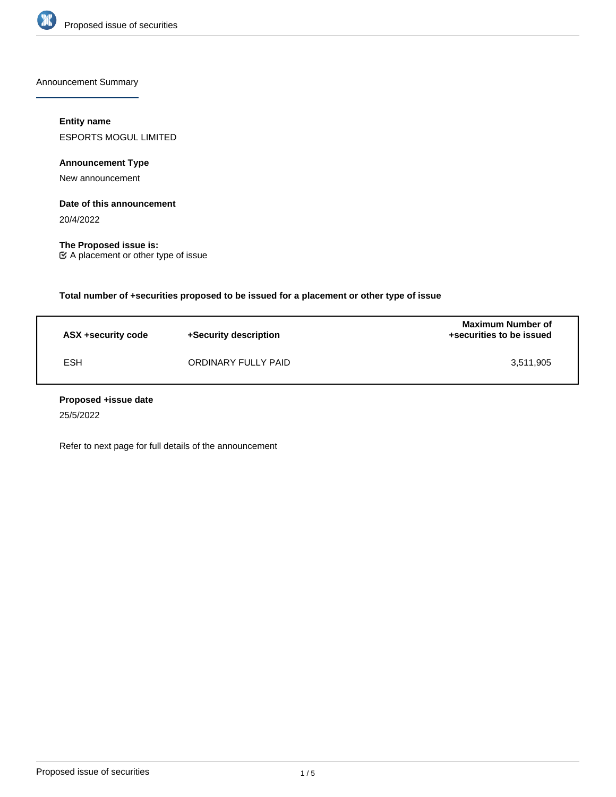

Announcement Summary

## **Entity name**

ESPORTS MOGUL LIMITED

**Announcement Type**

New announcement

### **Date of this announcement**

20/4/2022

**The Proposed issue is:** A placement or other type of issue

**Total number of +securities proposed to be issued for a placement or other type of issue**

| ASX +security code | +Security description | <b>Maximum Number of</b><br>+securities to be issued |
|--------------------|-----------------------|------------------------------------------------------|
| <b>ESH</b>         | ORDINARY FULLY PAID   | 3.511.905                                            |

### **Proposed +issue date**

25/5/2022

Refer to next page for full details of the announcement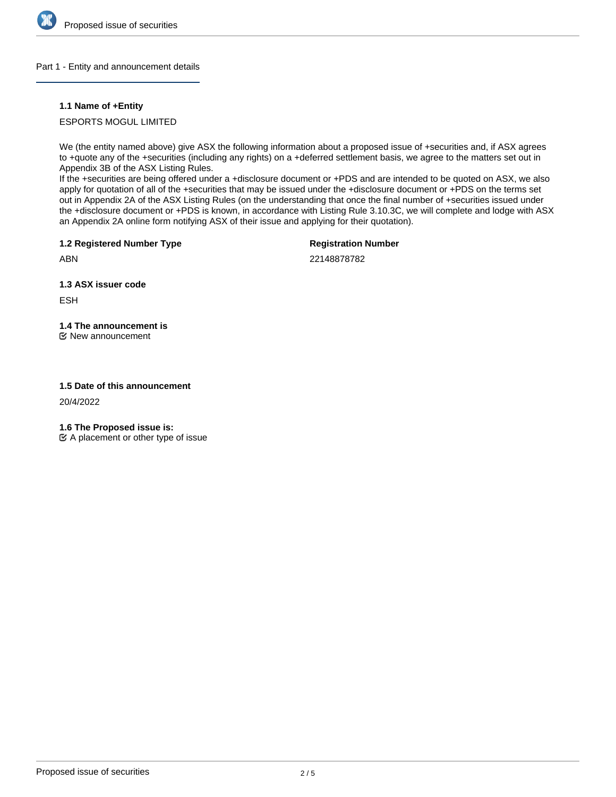

#### Part 1 - Entity and announcement details

### **1.1 Name of +Entity**

ESPORTS MOGUL LIMITED

We (the entity named above) give ASX the following information about a proposed issue of +securities and, if ASX agrees to +quote any of the +securities (including any rights) on a +deferred settlement basis, we agree to the matters set out in Appendix 3B of the ASX Listing Rules.

If the +securities are being offered under a +disclosure document or +PDS and are intended to be quoted on ASX, we also apply for quotation of all of the +securities that may be issued under the +disclosure document or +PDS on the terms set out in Appendix 2A of the ASX Listing Rules (on the understanding that once the final number of +securities issued under the +disclosure document or +PDS is known, in accordance with Listing Rule 3.10.3C, we will complete and lodge with ASX an Appendix 2A online form notifying ASX of their issue and applying for their quotation).

**1.2 Registered Number Type**

**Registration Number**

ABN

22148878782

**1.3 ASX issuer code**

**ESH** 

# **1.4 The announcement is**

New announcement

### **1.5 Date of this announcement**

20/4/2022

**1.6 The Proposed issue is:**

 $\mathfrak{C}$  A placement or other type of issue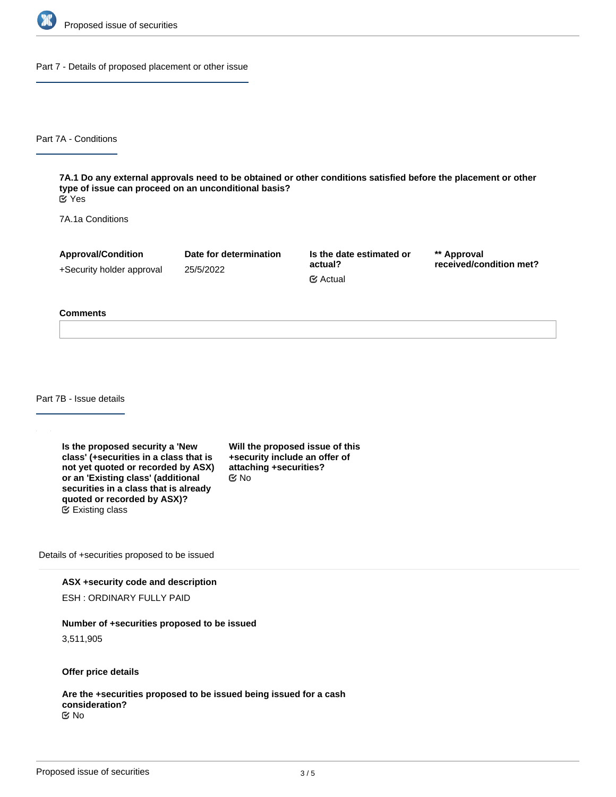

Part 7 - Details of proposed placement or other issue

Part 7A - Conditions

**7A.1 Do any external approvals need to be obtained or other conditions satisfied before the placement or other type of issue can proceed on an unconditional basis?** Yes

7A.1a Conditions

**Approval/Condition** +Security holder approval

25/5/2022

**Date for determination**

**Is the date estimated or actual?** Actual

**\*\* Approval received/condition met?**

#### **Comments**

Part 7B - Issue details

**Is the proposed security a 'New class' (+securities in a class that is not yet quoted or recorded by ASX) or an 'Existing class' (additional securities in a class that is already quoted or recorded by ASX)?** Existing class

**Will the proposed issue of this +security include an offer of attaching +securities?** No

Details of +securities proposed to be issued

**ASX +security code and description**

ESH : ORDINARY FULLY PAID

**Number of +securities proposed to be issued**

3,511,905

**Offer price details**

**Are the +securities proposed to be issued being issued for a cash consideration?** No

**Please describe the consideration being provided for the +securities**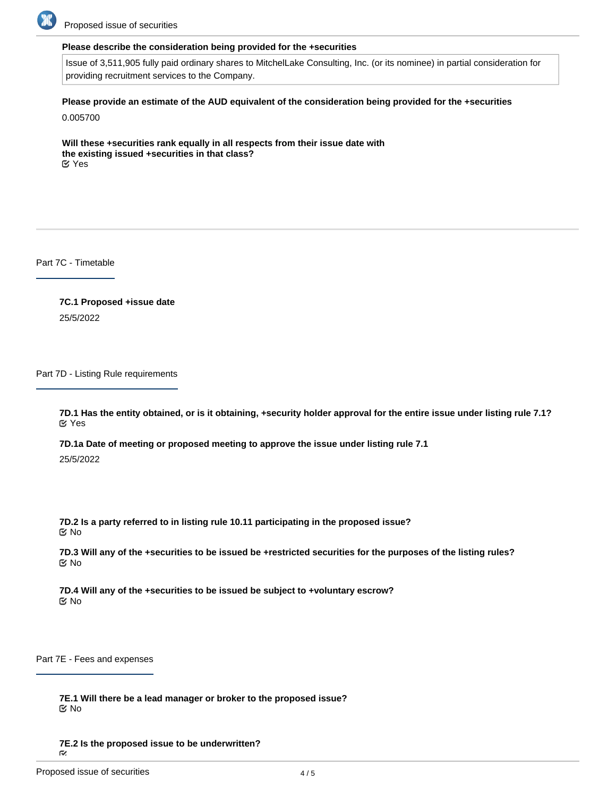

Proposed issue of securities

#### **Please describe the consideration being provided for the +securities**

Issue of 3,511,905 fully paid ordinary shares to MitchelLake Consulting, Inc. (or its nominee) in partial consideration for providing recruitment services to the Company.

**Please provide an estimate of the AUD equivalent of the consideration being provided for the +securities**

0.005700

**Will these +securities rank equally in all respects from their issue date with the existing issued +securities in that class?** Yes

Part 7C - Timetable

**7C.1 Proposed +issue date** 25/5/2022

Part 7D - Listing Rule requirements

**7D.1 Has the entity obtained, or is it obtaining, +security holder approval for the entire issue under listing rule 7.1?** Yes

**7D.1a Date of meeting or proposed meeting to approve the issue under listing rule 7.1** 25/5/2022

**7D.2 Is a party referred to in listing rule 10.11 participating in the proposed issue?** No

**7D.3 Will any of the +securities to be issued be +restricted securities for the purposes of the listing rules?** No

**7D.4 Will any of the +securities to be issued be subject to +voluntary escrow?** No

Part 7E - Fees and expenses

**7E.1 Will there be a lead manager or broker to the proposed issue?** No

**7E.2 Is the proposed issue to be underwritten?**

 $\tilde{\sim}$